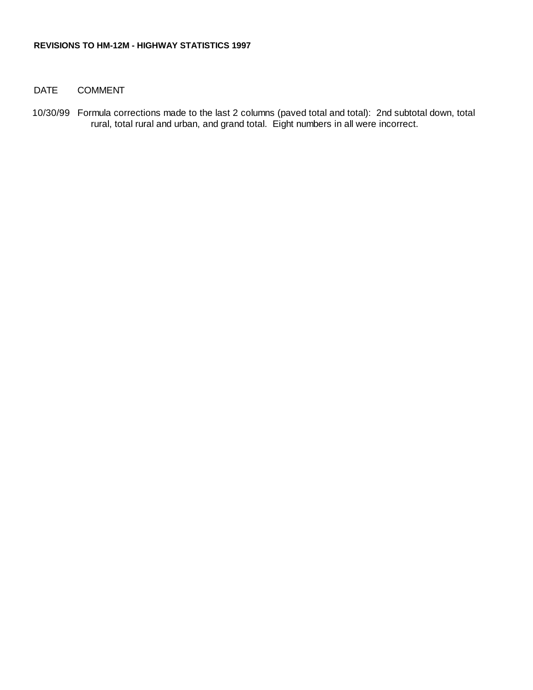## DATE COMMENT

10/30/99 Formula corrections made to the last 2 columns (paved total and total): 2nd subtotal down, total rural, total rural and urban, and grand total. Eight numbers in all were incorrect.